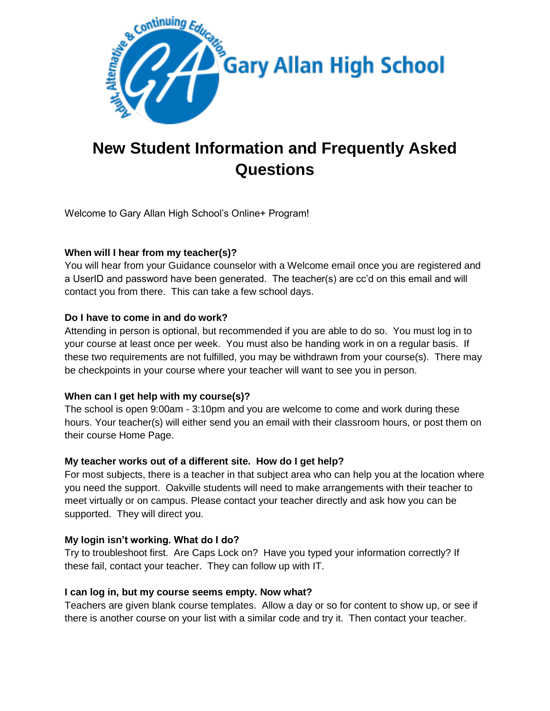

# **New Student Information and Frequently Asked Questions**

Welcome to Gary Allan High School's Online+ Program!

# **When will I hear from my teacher(s)?**

You will hear from your Guidance counselor with a Welcome email once you are registered and a UserID and password have been generated. The teacher(s) are cc'd on this email and will contact you from there. This can take a few school days.

# **Do I have to come in and do work?**

Attending in person is optional, but recommended if you are able to do so. You must log in to your course at least once per week. You must also be handing work in on a regular basis. If these two requirements are not fulfilled, you may be withdrawn from your course(s). There may be checkpoints in your course where your teacher will want to see you in person.

# **When can I get help with my course(s)?**

The school is open 9:00am - 3:10pm and you are welcome to come and work during these hours. Your teacher(s) will either send you an email with their classroom hours, or post them on their course Home Page.

# **My teacher works out of a different site. How do I get help?**

For most subjects, there is a teacher in that subject area who can help you at the location where you need the support. Oakville students will need to make arrangements with their teacher to meet virtually or on campus. Please contact your teacher directly and ask how you can be supported. They will direct you.

#### **My login isn't working. What do I do?**

Try to troubleshoot first. Are Caps Lock on? Have you typed your information correctly? If these fail, contact your teacher. They can follow up with IT.

#### **I can log in, but my course seems empty. Now what?**

Teachers are given blank course templates. Allow a day or so for content to show up, or see if there is another course on your list with a similar code and try it. Then contact your teacher.